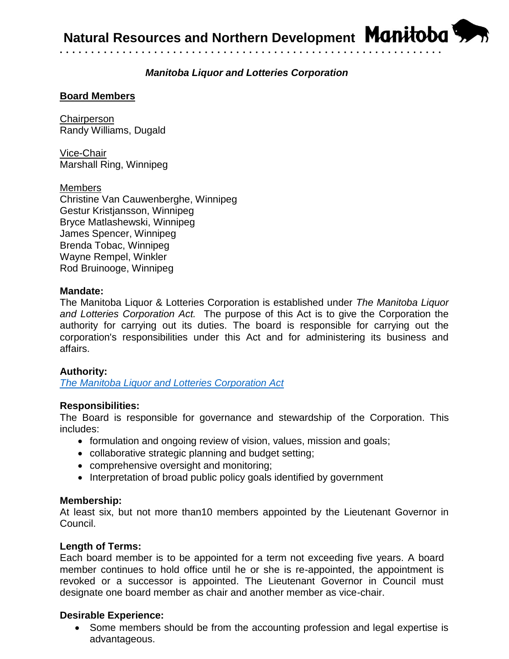

# *Manitoba Liquor and Lotteries Corporation*

• • • • • • • • • • • • • • • • • • • • • • • • • • • • • • • • • • • • • • • • • • • • • • • • • • • • • • • • • • • • •

## **Board Members**

**Chairperson** Randy Williams, Dugald

Vice-Chair Marshall Ring, Winnipeg

#### Members

Christine Van Cauwenberghe, Winnipeg Gestur Kristjansson, Winnipeg Bryce Matlashewski, Winnipeg James Spencer, Winnipeg Brenda Tobac, Winnipeg Wayne Rempel, Winkler Rod Bruinooge, Winnipeg

#### **Mandate:**

The Manitoba Liquor & Lotteries Corporation is established under *The Manitoba Liquor and Lotteries Corporation Act.* The purpose of this Act is to give the Corporation the authority for carrying out its duties. The board is responsible for carrying out the corporation's responsibilities under this Act and for administering its business and affairs.

### **Authority:**

*[The Manitoba Liquor and Lotteries Corporation Act](https://web2.gov.mb.ca/laws/statutes/ccsm/_pdf.php?cap=l155)*

### **Responsibilities:**

The Board is responsible for governance and stewardship of the Corporation. This includes:

- formulation and ongoing review of vision, values, mission and goals;
- collaborative strategic planning and budget setting;
- comprehensive oversight and monitoring;
- Interpretation of broad public policy goals identified by government

#### **Membership:**

At least six, but not more than10 members appointed by the Lieutenant Governor in Council.

### **Length of Terms:**

Each board member is to be appointed for a term not exceeding five years. A board member continues to hold office until he or she is re-appointed, the appointment is revoked or a successor is appointed. The Lieutenant Governor in Council must designate one board member as chair and another member as vice-chair.

### **Desirable Experience:**

• Some members should be from the accounting profession and legal expertise is advantageous.